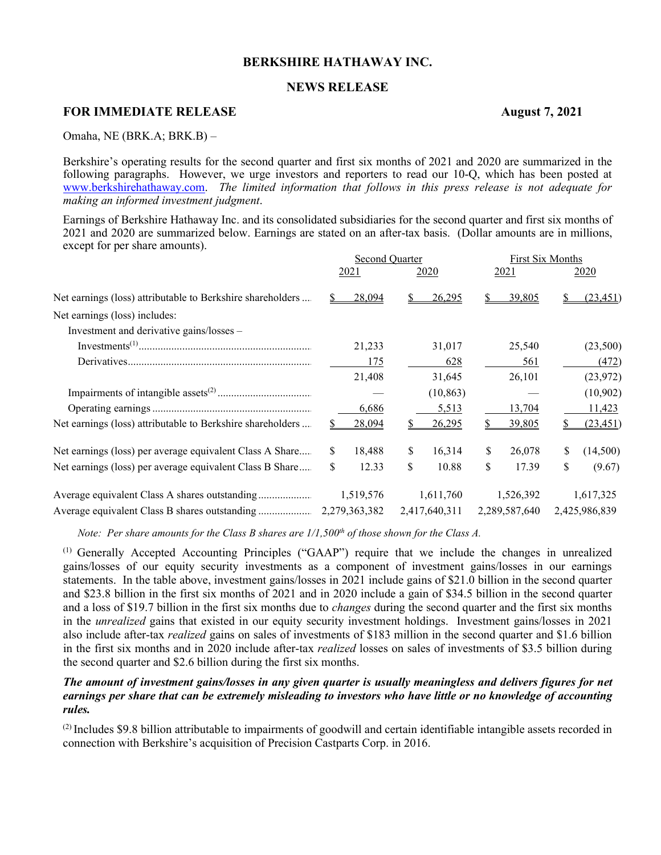# **BERKSHIRE HATHAWAY INC.**

# **NEWS RELEASE**

# **FOR IMMEDIATE RELEASE August 7, 2021**

Omaha, NE (BRK.A; BRK.B) –

Berkshire's operating results for the second quarter and first six months of 2021 and 2020 are summarized in the following paragraphs. However, we urge investors and reporters to read our 10-Q, which has been posted at [www.berkshirehathaway.com.](http://www.berkshirehathaway.com/) *The limited information that follows in this press release is not adequate for making an informed investment judgment*.

Earnings of Berkshire Hathaway Inc. and its consolidated subsidiaries for the second quarter and first six months of 2021 and 2020 are summarized below. Earnings are stated on an after-tax basis. (Dollar amounts are in millions, except for per share amounts).

|                                                            |    | Second Quarter |    |               |    | First Six Months |    |               |
|------------------------------------------------------------|----|----------------|----|---------------|----|------------------|----|---------------|
|                                                            |    | 2021           |    | <u>2020</u>   |    | 2021             |    | <u>2020</u>   |
| Net earnings (loss) attributable to Berkshire shareholders |    | 28,094         |    | 26,295        |    | 39,805           |    | (23, 451)     |
| Net earnings (loss) includes:                              |    |                |    |               |    |                  |    |               |
| Investment and derivative gains/losses -                   |    |                |    |               |    |                  |    |               |
|                                                            |    | 21,233         |    | 31,017        |    | 25,540           |    | (23,500)      |
|                                                            |    | 175            |    | 628           |    | 561              |    | (472)         |
|                                                            |    | 21,408         |    | 31,645        |    | 26,101           |    | (23, 972)     |
|                                                            |    |                |    | (10, 863)     |    |                  |    | (10,902)      |
|                                                            |    | 6,686          |    | 5,513         |    | 13,704           |    | 11,423        |
| Net earnings (loss) attributable to Berkshire shareholders |    | <u>28,094</u>  |    | <u>26,295</u> |    | <u>39,805</u>    |    | (23, 451)     |
| Net earnings (loss) per average equivalent Class A Share   | S. | 18,488         | S. | 16,314        | S  | 26,078           | \$ | (14,500)      |
| Net earnings (loss) per average equivalent Class B Share   | \$ | 12.33          | \$ | 10.88         | \$ | 17.39            | \$ | (9.67)        |
|                                                            |    | 1,519,576      |    | 1,611,760     |    | 1,526,392        |    | 1,617,325     |
|                                                            |    |                |    | 2,417,640,311 |    | 2,289,587,640    |    | 2,425,986,839 |

*Note: Per share amounts for the Class B shares are*  $1/1,500<sup>th</sup>$  *of those shown for the Class A.* 

(1) Generally Accepted Accounting Principles ("GAAP") require that we include the changes in unrealized gains/losses of our equity security investments as a component of investment gains/losses in our earnings statements. In the table above, investment gains/losses in 2021 include gains of \$21.0 billion in the second quarter and \$23.8 billion in the first six months of 2021 and in 2020 include a gain of \$34.5 billion in the second quarter and a loss of \$19.7 billion in the first six months due to *changes* during the second quarter and the first six months in the *unrealized* gains that existed in our equity security investment holdings. Investment gains/losses in 2021 also include after-tax *realized* gains on sales of investments of \$183 million in the second quarter and \$1.6 billion in the first six months and in 2020 include after-tax *realized* losses on sales of investments of \$3.5 billion during the second quarter and \$2.6 billion during the first six months.

# *The amount of investment gains/losses in any given quarter is usually meaningless and delivers figures for net earnings per share that can be extremely misleading to investors who have little or no knowledge of accounting rules.*

 $^{(2)}$  Includes \$9.8 billion attributable to impairments of goodwill and certain identifiable intangible assets recorded in connection with Berkshire's acquisition of Precision Castparts Corp. in 2016.